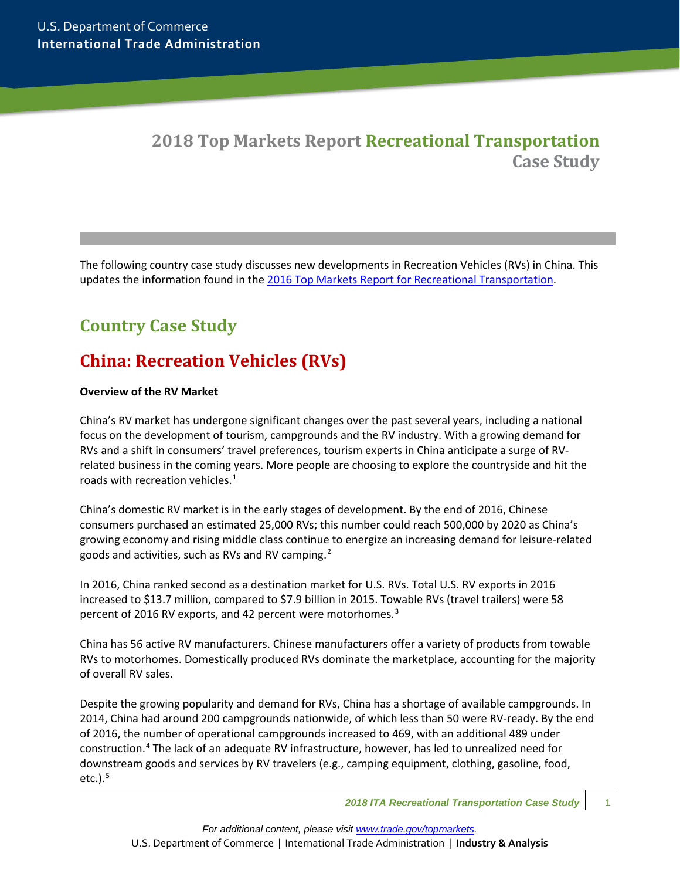## **2018 Top Markets Report Recreational Transportation Case Study**

The following country case study discusses new developments in Recreation Vehicles (RVs) in China. This updates the information found in the [2016 Top Markets Report for Recreational Transportation.](https://www.trade.gov/topmarkets/recreational-transport.asp)

# **Country Case Study**

# **China: Recreation Vehicles (RVs)**

### **Overview of the RV Market**

China's RV market has undergone significant changes over the past several years, including a national focus on the development of tourism, campgrounds and the RV industry. With a growing demand for RVs and a shift in consumers' travel preferences, tourism experts in China anticipate a surge of RVrelated business in the coming years. More people are choosing to explore the countryside and hit the roads with recreation vehicles. $1$ 

China's domestic RV market is in the early stages of development. By the end of 2016, Chinese consumers purchased an estimated 25,000 RVs; this number could reach 500,000 by 2020 as China's growing economy and rising middle class continue to energize an increasing demand for leisure-related goods and activities, such as RVs and RV camping.<sup>[2](#page-7-1)</sup>

In 2016, China ranked second as a destination market for U.S. RVs. Total U.S. RV exports in 2016 increased to \$13.7 million, compared to \$7.9 billion in 2015. Towable RVs (travel trailers) were 58 percent of 2016 RV exports, and 42 percent were motorhomes.<sup>[3](#page-7-2)</sup>

China has 56 active RV manufacturers. Chinese manufacturers offer a variety of products from towable RVs to motorhomes. Domestically produced RVs dominate the marketplace, accounting for the majority of overall RV sales.

Despite the growing popularity and demand for RVs, China has a shortage of available campgrounds. In 2014, China had around 200 campgrounds nationwide, of which less than 50 were RV-ready. By the end of 2016, the number of operational campgrounds increased to 469, with an additional 489 under construction.[4](#page-7-3) The lack of an adequate RV infrastructure, however, has led to unrealized need for downstream goods and services by RV travelers (e.g., camping equipment, clothing, gasoline, food, etc.). $<sup>5</sup>$  $<sup>5</sup>$  $<sup>5</sup>$ </sup>

*<sup>2018</sup> ITA Recreational Transportation Case Study* 1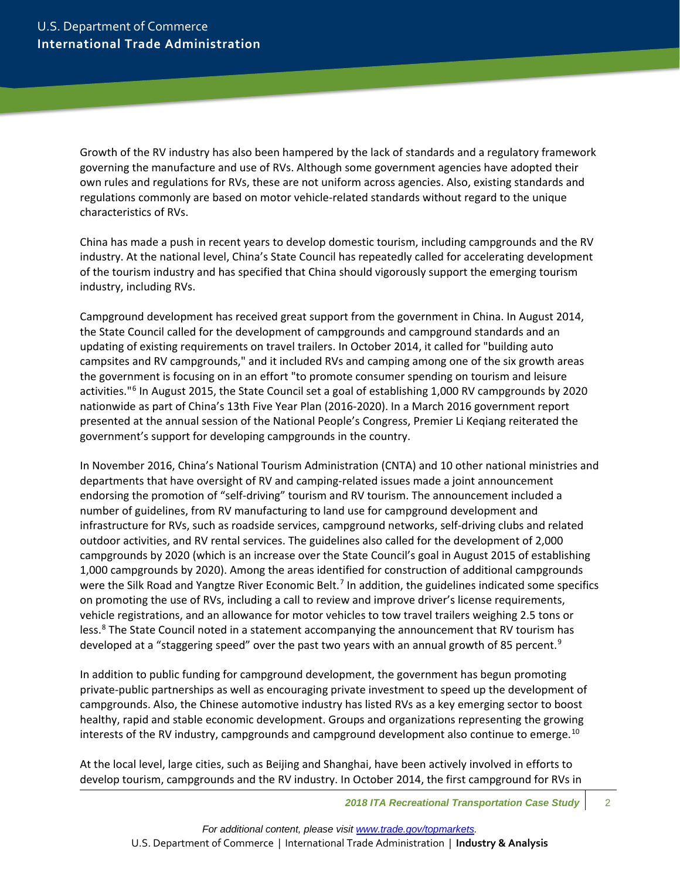Growth of the RV industry has also been hampered by the lack of standards and a regulatory framework governing the manufacture and use of RVs. Although some government agencies have adopted their own rules and regulations for RVs, these are not uniform across agencies. Also, existing standards and regulations commonly are based on motor vehicle-related standards without regard to the unique characteristics of RVs.

China has made a push in recent years to develop domestic tourism, including campgrounds and the RV industry. At the national level, China's State Council has repeatedly called for accelerating development of the tourism industry and has specified that China should vigorously support the emerging tourism industry, including RVs.

Campground development has received great support from the government in China. In August 2014, the State Council called for the development of campgrounds and campground standards and an updating of existing requirements on travel trailers. In October 2014, it called for "building auto campsites and RV campgrounds," and it included RVs and camping among one of the six growth areas the government is focusing on in an effort "to promote consumer spending on tourism and leisure activities."[6](#page-7-5) In August 2015, the State Council set a goal of establishing 1,000 RV campgrounds by 2020 nationwide as part of China's 13th Five Year Plan (2016-2020). In a March 2016 government report presented at the annual session of the National People's Congress, Premier Li Keqiang reiterated the government's support for developing campgrounds in the country.

In November 2016, China's National Tourism Administration (CNTA) and 10 other national ministries and departments that have oversight of RV and camping-related issues made a joint announcement endorsing the promotion of "self-driving" tourism and RV tourism. The announcement included a number of guidelines, from RV manufacturing to land use for campground development and infrastructure for RVs, such as roadside services, campground networks, self-driving clubs and related outdoor activities, and RV rental services. The guidelines also called for the development of 2,000 campgrounds by 2020 (which is an increase over the State Council's goal in August 2015 of establishing 1,000 campgrounds by 2020). Among the areas identified for construction of additional campgrounds were the Silk Road and Yangtze River Economic Belt.<sup>[7](#page-7-6)</sup> In addition, the guidelines indicated some specifics on promoting the use of RVs, including a call to review and improve driver's license requirements, vehicle registrations, and an allowance for motor vehicles to tow travel trailers weighing 2.5 tons or less.<sup>[8](#page-7-7)</sup> The State Council noted in a statement accompanying the announcement that RV tourism has developed at a "staggering speed" over the past two years with an annual growth of 85 percent.<sup>[9](#page-7-8)</sup>

In addition to public funding for campground development, the government has begun promoting private-public partnerships as well as encouraging private investment to speed up the development of campgrounds. Also, the Chinese automotive industry has listed RVs as a key emerging sector to boost healthy, rapid and stable economic development. Groups and organizations representing the growing interests of the RV industry, campgrounds and campground development also continue to emerge.<sup>[10](#page-7-9)</sup>

At the local level, large cities, such as Beijing and Shanghai, have been actively involved in efforts to develop tourism, campgrounds and the RV industry. In October 2014, the first campground for RVs in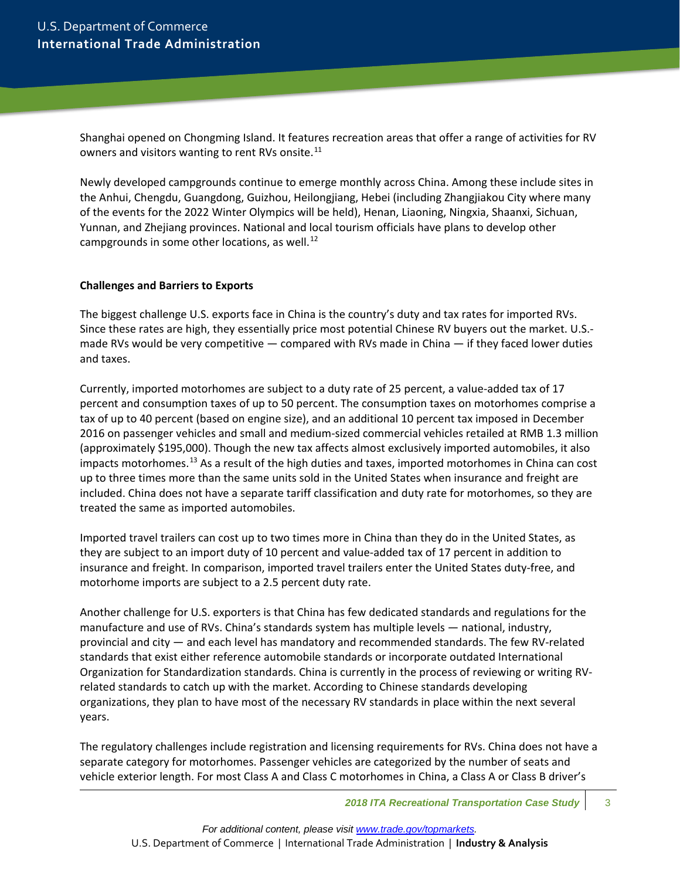Shanghai opened on Chongming Island. It features recreation areas that offer a range of activities for RV owners and visitors wanting to rent RVs onsite.<sup>[11](#page-7-10)</sup>

Newly developed campgrounds continue to emerge monthly across China. Among these include sites in the Anhui, Chengdu, Guangdong, Guizhou, Heilongjiang, Hebei (including Zhangjiakou City where many of the events for the 2022 Winter Olympics will be held), Henan, Liaoning, Ningxia, Shaanxi, Sichuan, Yunnan, and Zhejiang provinces. National and local tourism officials have plans to develop other campgrounds in some other locations, as well. $^{12}$  $^{12}$  $^{12}$ 

#### **Challenges and Barriers to Exports**

The biggest challenge U.S. exports face in China is the country's duty and tax rates for imported RVs. Since these rates are high, they essentially price most potential Chinese RV buyers out the market. U.S. made RVs would be very competitive — compared with RVs made in China — if they faced lower duties and taxes.

Currently, imported motorhomes are subject to a duty rate of 25 percent, a value-added tax of 17 percent and consumption taxes of up to 50 percent. The consumption taxes on motorhomes comprise a tax of up to 40 percent (based on engine size), and an additional 10 percent tax imposed in December 2016 on passenger vehicles and small and medium-sized commercial vehicles retailed at RMB 1.3 million (approximately \$195,000). Though the new tax affects almost exclusively imported automobiles, it also impacts motorhomes.<sup>[13](#page-7-12)</sup> As a result of the high duties and taxes, imported motorhomes in China can cost up to three times more than the same units sold in the United States when insurance and freight are included. China does not have a separate tariff classification and duty rate for motorhomes, so they are treated the same as imported automobiles.

Imported travel trailers can cost up to two times more in China than they do in the United States, as they are subject to an import duty of 10 percent and value-added tax of 17 percent in addition to insurance and freight. In comparison, imported travel trailers enter the United States duty-free, and motorhome imports are subject to a 2.5 percent duty rate.

Another challenge for U.S. exporters is that China has few dedicated standards and regulations for the manufacture and use of RVs. China's standards system has multiple levels — national, industry, provincial and city — and each level has mandatory and recommended standards. The few RV-related standards that exist either reference automobile standards or incorporate outdated International Organization for Standardization standards. China is currently in the process of reviewing or writing RVrelated standards to catch up with the market. According to Chinese standards developing organizations, they plan to have most of the necessary RV standards in place within the next several years.

The regulatory challenges include registration and licensing requirements for RVs. China does not have a separate category for motorhomes. Passenger vehicles are categorized by the number of seats and vehicle exterior length. For most Class A and Class C motorhomes in China, a Class A or Class B driver's

**2018 ITA Recreational Transportation Case Study** 3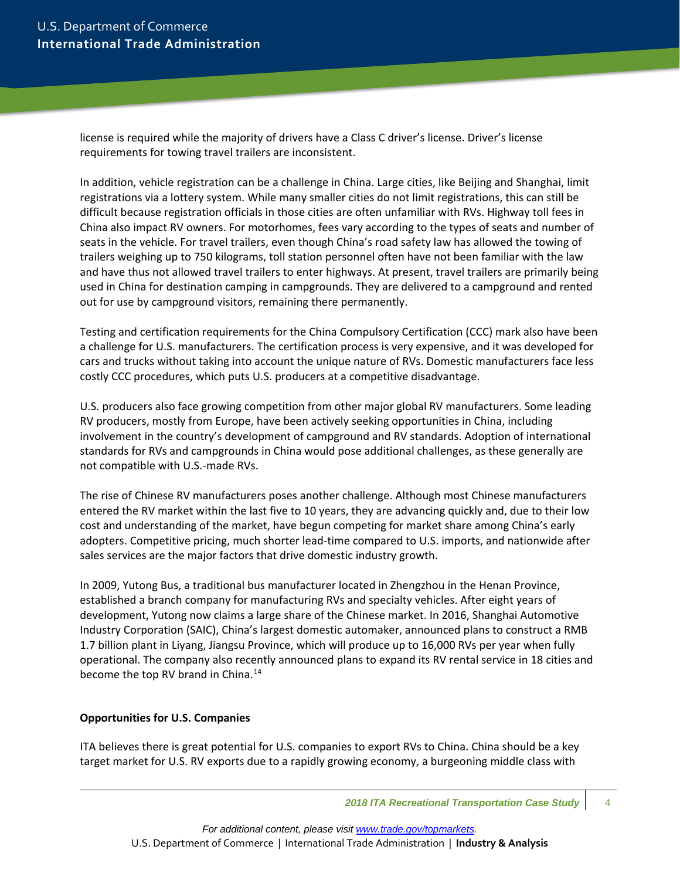license is required while the majority of drivers have a Class C driver's license. Driver's license requirements for towing travel trailers are inconsistent.

In addition, vehicle registration can be a challenge in China. Large cities, like Beijing and Shanghai, limit registrations via a lottery system. While many smaller cities do not limit registrations, this can still be difficult because registration officials in those cities are often unfamiliar with RVs. Highway toll fees in China also impact RV owners. For motorhomes, fees vary according to the types of seats and number of seats in the vehicle. For travel trailers, even though China's road safety law has allowed the towing of trailers weighing up to 750 kilograms, toll station personnel often have not been familiar with the law and have thus not allowed travel trailers to enter highways. At present, travel trailers are primarily being used in China for destination camping in campgrounds. They are delivered to a campground and rented out for use by campground visitors, remaining there permanently.

Testing and certification requirements for the China Compulsory Certification (CCC) mark also have been a challenge for U.S. manufacturers. The certification process is very expensive, and it was developed for cars and trucks without taking into account the unique nature of RVs. Domestic manufacturers face less costly CCC procedures, which puts U.S. producers at a competitive disadvantage.

U.S. producers also face growing competition from other major global RV manufacturers. Some leading RV producers, mostly from Europe, have been actively seeking opportunities in China, including involvement in the country's development of campground and RV standards. Adoption of international standards for RVs and campgrounds in China would pose additional challenges, as these generally are not compatible with U.S.-made RVs.

The rise of Chinese RV manufacturers poses another challenge. Although most Chinese manufacturers entered the RV market within the last five to 10 years, they are advancing quickly and, due to their low cost and understanding of the market, have begun competing for market share among China's early adopters. Competitive pricing, much shorter lead-time compared to U.S. imports, and nationwide after sales services are the major factors that drive domestic industry growth.

In 2009, Yutong Bus, a traditional bus manufacturer located in Zhengzhou in the Henan Province, established a branch company for manufacturing RVs and specialty vehicles. After eight years of development, Yutong now claims a large share of the Chinese market. In 2016, Shanghai Automotive Industry Corporation (SAIC), China's largest domestic automaker, announced plans to construct a RMB 1.7 billion plant in Liyang, Jiangsu Province, which will produce up to 16,000 RVs per year when fully operational. The company also recently announced plans to expand its RV rental service in 18 cities and become the top RV brand in China.<sup>[14](#page-7-13)</sup>

### **Opportunities for U.S. Companies**

ITA believes there is great potential for U.S. companies to export RVs to China. China should be a key target market for U.S. RV exports due to a rapidly growing economy, a burgeoning middle class with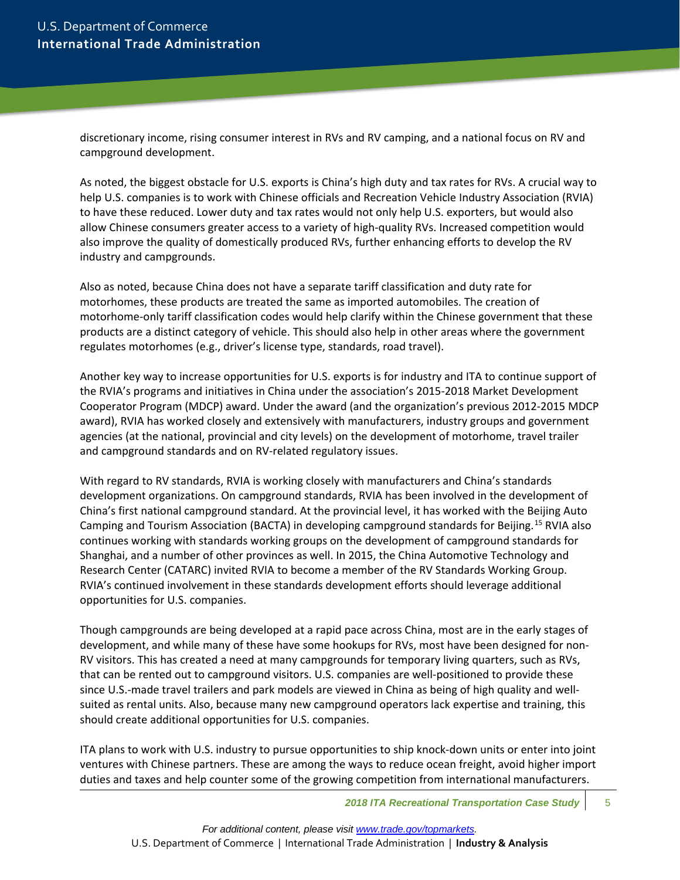discretionary income, rising consumer interest in RVs and RV camping, and a national focus on RV and campground development.

As noted, the biggest obstacle for U.S. exports is China's high duty and tax rates for RVs. A crucial way to help U.S. companies is to work with Chinese officials and Recreation Vehicle Industry Association (RVIA) to have these reduced. Lower duty and tax rates would not only help U.S. exporters, but would also allow Chinese consumers greater access to a variety of high-quality RVs. Increased competition would also improve the quality of domestically produced RVs, further enhancing efforts to develop the RV industry and campgrounds.

Also as noted, because China does not have a separate tariff classification and duty rate for motorhomes, these products are treated the same as imported automobiles. The creation of motorhome-only tariff classification codes would help clarify within the Chinese government that these products are a distinct category of vehicle. This should also help in other areas where the government regulates motorhomes (e.g., driver's license type, standards, road travel).

Another key way to increase opportunities for U.S. exports is for industry and ITA to continue support of the RVIA's programs and initiatives in China under the association's 2015-2018 Market Development Cooperator Program (MDCP) award. Under the award (and the organization's previous 2012-2015 MDCP award), RVIA has worked closely and extensively with manufacturers, industry groups and government agencies (at the national, provincial and city levels) on the development of motorhome, travel trailer and campground standards and on RV-related regulatory issues.

With regard to RV standards, RVIA is working closely with manufacturers and China's standards development organizations. On campground standards, RVIA has been involved in the development of China's first national campground standard. At the provincial level, it has worked with the Beijing Auto Camping and Tourism Association (BACTA) in developing campground standards for Beijing.<sup>[15](#page-7-14)</sup> RVIA also continues working with standards working groups on the development of campground standards for Shanghai, and a number of other provinces as well. In 2015, the China Automotive Technology and Research Center (CATARC) invited RVIA to become a member of the RV Standards Working Group. RVIA's continued involvement in these standards development efforts should leverage additional opportunities for U.S. companies.

Though campgrounds are being developed at a rapid pace across China, most are in the early stages of development, and while many of these have some hookups for RVs, most have been designed for non-RV visitors. This has created a need at many campgrounds for temporary living quarters, such as RVs, that can be rented out to campground visitors. U.S. companies are well-positioned to provide these since U.S.-made travel trailers and park models are viewed in China as being of high quality and wellsuited as rental units. Also, because many new campground operators lack expertise and training, this should create additional opportunities for U.S. companies.

ITA plans to work with U.S. industry to pursue opportunities to ship knock-down units or enter into joint ventures with Chinese partners. These are among the ways to reduce ocean freight, avoid higher import duties and taxes and help counter some of the growing competition from international manufacturers.

**2018 ITA Recreational Transportation Case Study** 5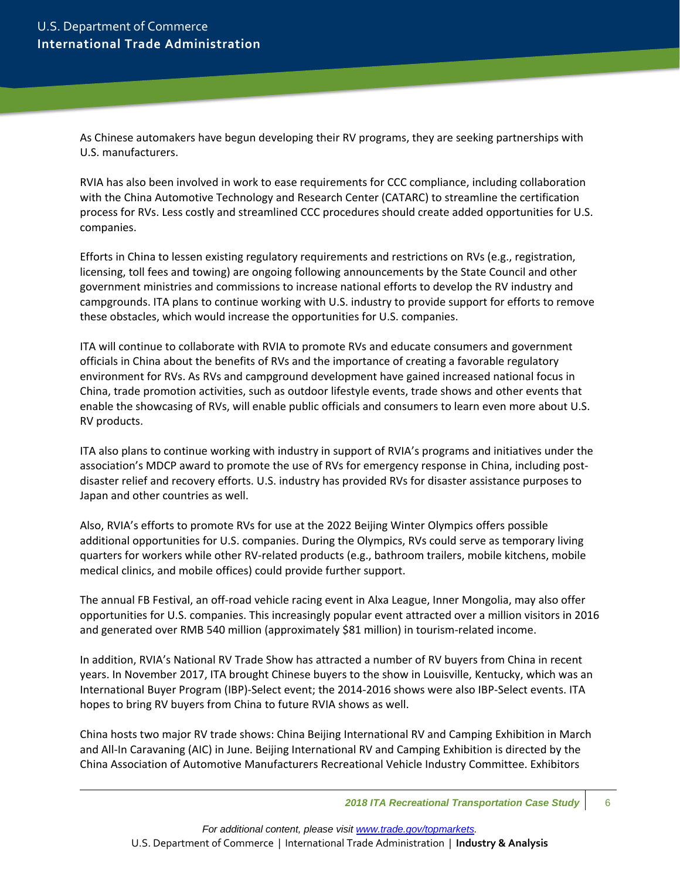As Chinese automakers have begun developing their RV programs, they are seeking partnerships with U.S. manufacturers.

RVIA has also been involved in work to ease requirements for CCC compliance, including collaboration with the China Automotive Technology and Research Center (CATARC) to streamline the certification process for RVs. Less costly and streamlined CCC procedures should create added opportunities for U.S. companies.

Efforts in China to lessen existing regulatory requirements and restrictions on RVs (e.g., registration, licensing, toll fees and towing) are ongoing following announcements by the State Council and other government ministries and commissions to increase national efforts to develop the RV industry and campgrounds. ITA plans to continue working with U.S. industry to provide support for efforts to remove these obstacles, which would increase the opportunities for U.S. companies.

ITA will continue to collaborate with RVIA to promote RVs and educate consumers and government officials in China about the benefits of RVs and the importance of creating a favorable regulatory environment for RVs. As RVs and campground development have gained increased national focus in China, trade promotion activities, such as outdoor lifestyle events, trade shows and other events that enable the showcasing of RVs, will enable public officials and consumers to learn even more about U.S. RV products.

ITA also plans to continue working with industry in support of RVIA's programs and initiatives under the association's MDCP award to promote the use of RVs for emergency response in China, including postdisaster relief and recovery efforts. U.S. industry has provided RVs for disaster assistance purposes to Japan and other countries as well.

Also, RVIA's efforts to promote RVs for use at the 2022 Beijing Winter Olympics offers possible additional opportunities for U.S. companies. During the Olympics, RVs could serve as temporary living quarters for workers while other RV-related products (e.g., bathroom trailers, mobile kitchens, mobile medical clinics, and mobile offices) could provide further support.

The annual FB Festival, an off-road vehicle racing event in Alxa League, Inner Mongolia, may also offer opportunities for U.S. companies. This increasingly popular event attracted over a million visitors in 2016 and generated over RMB 540 million (approximately \$81 million) in tourism-related income.

In addition, RVIA's National RV Trade Show has attracted a number of RV buyers from China in recent years. In November 2017, ITA brought Chinese buyers to the show in Louisville, Kentucky, which was an International Buyer Program (IBP)-Select event; the 2014-2016 shows were also IBP-Select events. ITA hopes to bring RV buyers from China to future RVIA shows as well.

China hosts two major RV trade shows: China Beijing International RV and Camping Exhibition in March and All-In Caravaning (AIC) in June. Beijing International RV and Camping Exhibition is directed by the China Association of Automotive Manufacturers Recreational Vehicle Industry Committee. Exhibitors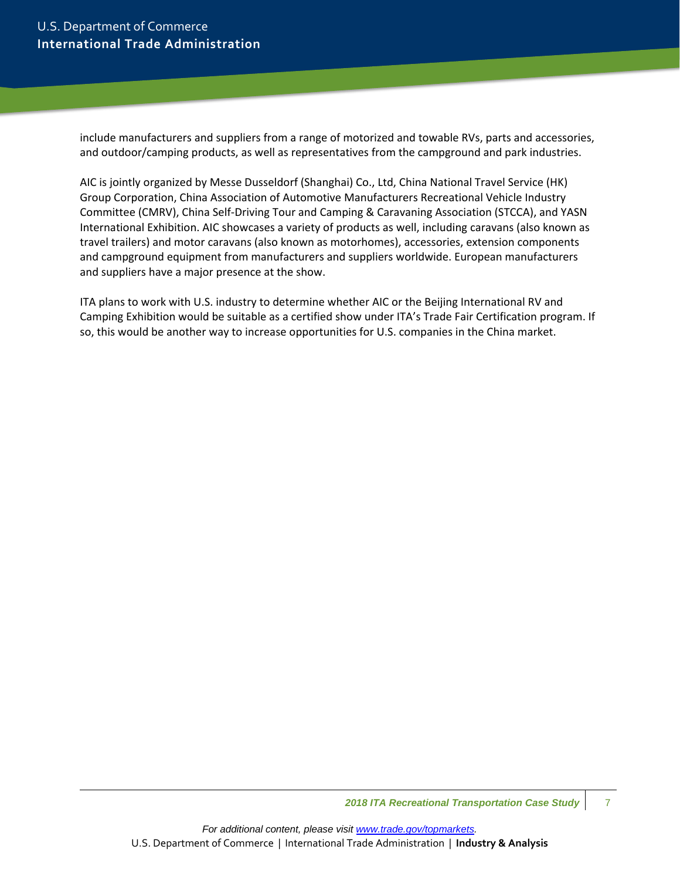include manufacturers and suppliers from a range of motorized and towable RVs, parts and accessories, and outdoor/camping products, as well as representatives from the campground and park industries.

AIC is jointly organized by Messe Dusseldorf (Shanghai) Co., Ltd, China National Travel Service (HK) Group Corporation, China Association of Automotive Manufacturers Recreational Vehicle Industry Committee (CMRV), China Self-Driving Tour and Camping & Caravaning Association (STCCA), and YASN International Exhibition. AIC showcases a variety of products as well, including caravans (also known as travel trailers) and motor caravans (also known as motorhomes), accessories, extension components and campground equipment from manufacturers and suppliers worldwide. European manufacturers and suppliers have a major presence at the show.

ITA plans to work with U.S. industry to determine whether AIC or the Beijing International RV and Camping Exhibition would be suitable as a certified show under ITA's Trade Fair Certification program. If so, this would be another way to increase opportunities for U.S. companies in the China market.